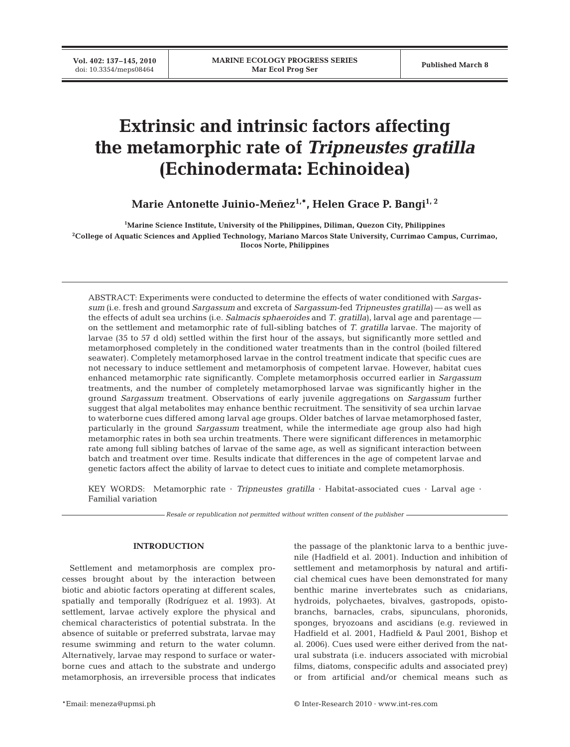# **Extrinsic and intrinsic factors affecting the metamorphic rate of** *Tripneustes gratilla* **(Echinodermata: Echinoidea)**

Marie Antonette Juinio-Meñez<sup>1,\*</sup>, Helen Grace P. Bangi<sup>1, 2</sup>

**1 Marine Science Institute, University of the Philippines, Diliman, Quezon City, Philippines 2 College of Aquatic Sciences and Applied Technology, Mariano Marcos State University, Currimao Campus, Currimao, Ilocos Norte, Philippines**

ABSTRACT: Experiments were conducted to determine the effects of water conditioned with *Sargassum* (i.e. fresh and ground *Sargassum* and excreta of *Sargassum*-fed *Tripneustes gratilla*) — as well as the effects of adult sea urchins (i.e. *Salmacis sphaeroides* and *T*. *gratilla*), larval age and parentage on the settlement and metamorphic rate of full-sibling batches of *T. gratilla* larvae. The majority of larvae (35 to 57 d old) settled within the first hour of the assays, but significantly more settled and metamorphosed completely in the conditioned water treatments than in the control (boiled filtered seawater). Completely metamorphosed larvae in the control treatment indicate that specific cues are not necessary to induce settlement and metamorphosis of competent larvae. However, habitat cues enhanced metamorphic rate significantly. Complete metamorphosis occurred earlier in *Sargassum* treatments, and the number of completely metamorphosed larvae was significantly higher in the ground *Sargassum* treatment. Observations of early juvenile aggregations on *Sargassum* further suggest that algal metabolites may enhance benthic recruitment. The sensitivity of sea urchin larvae to waterborne cues differed among larval age groups. Older batches of larvae metamorphosed faster, particularly in the ground *Sargassum* treatment, while the intermediate age group also had high metamorphic rates in both sea urchin treatments. There were significant differences in metamorphic rate among full sibling batches of larvae of the same age, as well as significant interaction between batch and treatment over time. Results indicate that differences in the age of competent larvae and genetic factors affect the ability of larvae to detect cues to initiate and complete metamorphosis.

KEY WORDS: Metamorphic rate · *Tripneustes gratilla* · Habitat-associated cues · Larval age · Familial variation

*Resale or republication not permitted without written consent of the publisher*

### **INTRODUCTION**

Settlement and metamorphosis are complex processes brought about by the interaction between biotic and abiotic factors operating at different scales, spatially and temporally (Rodríguez et al. 1993). At settlement, larvae actively explore the physical and chemical characteristics of potential substrata. In the absence of suitable or preferred substrata, larvae may resume swimming and return to the water column. Alternatively, larvae may respond to surface or waterborne cues and attach to the substrate and undergo metamorphosis, an irreversible process that indicates

the passage of the planktonic larva to a benthic juvenile (Hadfield et al. 2001). Induction and inhibition of settlement and metamorphosis by natural and artificial chemical cues have been demonstrated for many benthic marine invertebrates such as cnidarians, hydroids, polychaetes, bivalves, gastropods, opistobranchs, barnacles, crabs, sipunculans, phoronids, sponges, bryozoans and ascidians (e.g. reviewed in Hadfield et al. 2001, Hadfield & Paul 2001, Bishop et al. 2006). Cues used were either derived from the natural substrata (i.e. inducers associated with microbial films, diatoms, conspecific adults and associated prey) or from artificial and/or chemical means such as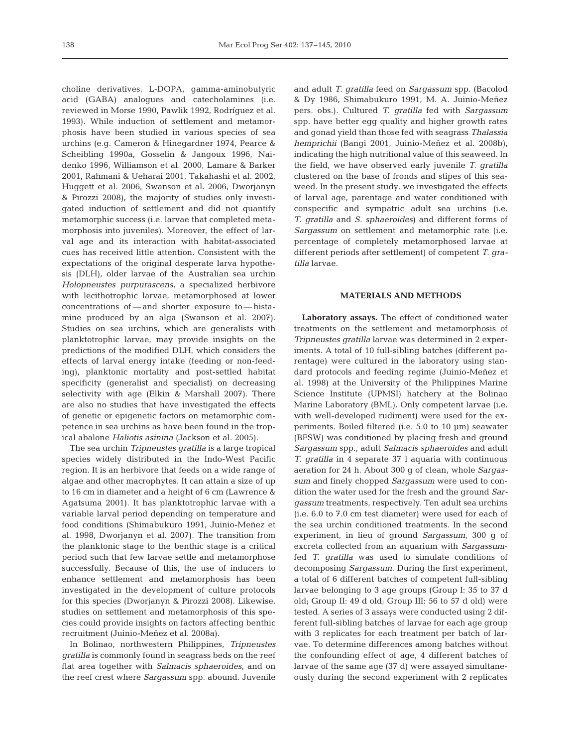choline derivatives, L-DOPA, gamma-aminobutyric acid (GABA) analogues and catecholamines (i.e. reviewed in Morse 1990, Pawlik 1992, Rodríguez et al. 1993). While induction of settlement and metamorphosis have been studied in various species of sea urchins (e.g. Cameron & Hinegardner 1974, Pearce & Scheibling 1990a, Gosselin & Jangoux 1996, Naidenko 1996, Williamson et al. 2000, Lamare & Barker 2001, Rahmani & Ueharai 2001, Takahashi et al. 2002, Huggett et al. 2006, Swanson et al. 2006, Dworjanyn & Pirozzi 2008), the majority of studies only investigated induction of settlement and did not quantify metamorphic success (i.e. larvae that completed metamorphosis into juveniles). Moreover, the effect of larval age and its interaction with habitat-associated cues has received little attention. Consistent with the expectations of the original desperate larva hypothesis (DLH), older larvae of the Australian sea urchin *Holopneustes purpurascens*, a specialized herbivore with lecithotrophic larvae, metamorphosed at lower concentrations of — and shorter exposure to — histamine produced by an alga (Swanson et al. 2007). Studies on sea urchins, which are generalists with planktotrophic larvae, may provide insights on the predictions of the modified DLH, which considers the effects of larval energy intake (feeding or non-feeding), planktonic mortality and post-settled habitat specificity (generalist and specialist) on decreasing selectivity with age (Elkin & Marshall 2007). There are also no studies that have investigated the effects of genetic or epigenetic factors on metamorphic competence in sea urchins as have been found in the tropical abalone *Haliotis asinina* (Jackson et al. 2005).

The sea urchin *Tripneustes gratilla* is a large tropical species widely distributed in the Indo-West Pacific region. It is an herbivore that feeds on a wide range of algae and other macrophytes. It can attain a size of up to 16 cm in diameter and a height of 6 cm (Lawrence & Agatsuma 2001). It has planktotrophic larvae with a variable larval period depending on temperature and food conditions (Shimabukuro 1991, Juinio-Meñez et al. 1998, Dworjanyn et al. 2007). The transition from the planktonic stage to the benthic stage is a critical period such that few larvae settle and metamorphose successfully. Because of this, the use of inducers to enhance settlement and metamorphosis has been investigated in the development of culture protocols for this species (Dworjanyn & Pirozzi 2008). Likewise, studies on settlement and metamorphosis of this species could provide insights on factors affecting benthic recruitment (Juinio-Meñez et al. 2008a).

In Bolinao, northwestern Philippines, *Tripneustes gratilla* is commonly found in seagrass beds on the reef flat area together with *Salmacis sphaeroides*, and on the reef crest where *Sargassum* spp. abound. Juvenile

and adult *T. gratilla* feed on *Sargassum* spp. (Bacolod & Dy 1986, Shimabukuro 1991, M. A. Juinio-Meñez pers. obs.). Cultured *T. gratilla* fed with *Sargassum* spp. have better egg quality and higher growth rates and gonad yield than those fed with seagrass *Thalassia hemprichii* (Bangi 2001, Juinio-Meñez et al. 2008b), indicating the high nutritional value of this seaweed. In the field, we have observed early juvenile *T. gratilla* clustered on the base of fronds and stipes of this seaweed. In the present study, we investigated the effects of larval age, parentage and water conditioned with conspecific and sympatric adult sea urchins (i.e. *T. gratilla* and *S. sphaeroides*) and different forms of *Sargassum* on settlement and metamorphic rate (i.e. percentage of completely metamorphosed larvae at different periods after settlement) of competent *T. gratilla* larvae.

## **MATERIALS AND METHODS**

**Laboratory assays.** The effect of conditioned water treatments on the settlement and metamorphosis of *Tripneustes gratilla* larvae was determined in 2 experiments. A total of 10 full-sibling batches (different parentage) were cultured in the laboratory using standard protocols and feeding regime (Juinio-Meñez et al. 1998) at the University of the Philippines Marine Science Institute (UPMSI) hatchery at the Bolinao Marine Laboratory (BML). Only competent larvae (i.e. with well-developed rudiment) were used for the experiments. Boiled filtered (i.e. 5.0 to 10 µm) seawater (BFSW) was conditioned by placing fresh and ground *Sargassum* spp., adult *Salmacis sphaeroides* and adult *T. gratilla* in 4 separate 37 l aquaria with continuous aeration for 24 h. About 300 g of clean, whole *Sargassum* and finely chopped *Sargassum* were used to condition the water used for the fresh and the ground *Sargassum* treatments, respectively. Ten adult sea urchins (i.e. 6.0 to 7.0 cm test diameter) were used for each of the sea urchin conditioned treatments. In the second experiment, in lieu of ground *Sargassum*, 300 g of excreta collected from an aquarium with *Sargassum*fed *T. gratilla* was used to simulate conditions of decomposing *Sargassum*. During the first experiment, a total of 6 different batches of competent full-sibling larvae belonging to 3 age groups (Group I: 35 to 37 d old; Group II: 49 d old; Group III: 56 to 57 d old) were tested. A series of 3 assays were conducted using 2 different full-sibling batches of larvae for each age group with 3 replicates for each treatment per batch of larvae. To determine differences among batches without the confounding effect of age, 4 different batches of larvae of the same age (37 d) were assayed simultaneously during the second experiment with 2 replicates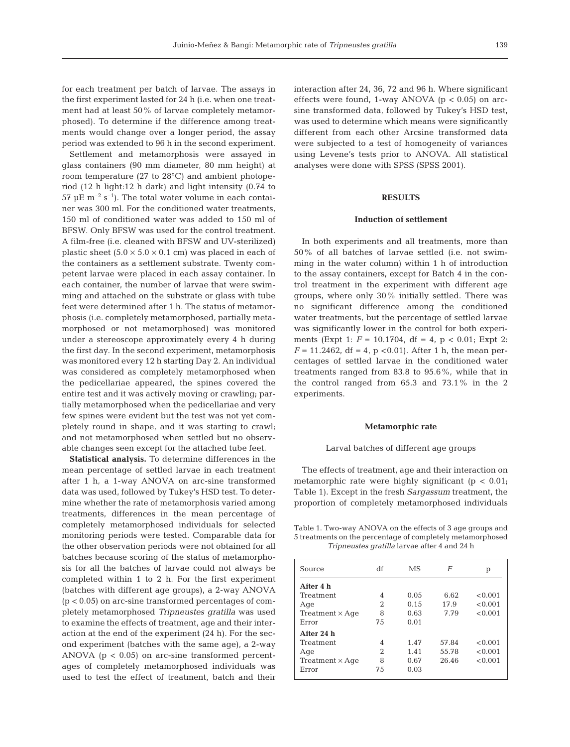for each treatment per batch of larvae. The assays in the first experiment lasted for 24 h (i.e. when one treatment had at least 50% of larvae completely metamorphosed). To determine if the difference among treatments would change over a longer period, the assay period was extended to 96 h in the second experiment.

Settlement and metamorphosis were assayed in glass containers (90 mm diameter, 80 mm height) at room temperature (27 to 28°C) and ambient photoperiod (12 h light:12 h dark) and light intensity (0.74 to 57 µE  $\rm m^{-2}$  s<sup>-1</sup>). The total water volume in each container was 300 ml. For the conditioned water treatments, 150 ml of conditioned water was added to 150 ml of BFSW. Only BFSW was used for the control treatment. A film-free (i.e. cleaned with BFSW and UV-sterilized) plastic sheet  $(5.0 \times 5.0 \times 0.1 \text{ cm})$  was placed in each of the containers as a settlement substrate. Twenty competent larvae were placed in each assay container. In each container, the number of larvae that were swimming and attached on the substrate or glass with tube feet were determined after 1 h. The status of metamorphosis (i.e. completely metamorphosed, partially metamorphosed or not metamorphosed) was monitored under a stereoscope approximately every 4 h during the first day. In the second experiment, metamorphosis was monitored every 12 h starting Day 2. An individual was considered as completely metamorphosed when the pedicellariae appeared, the spines covered the entire test and it was actively moving or crawling; partially metamorphosed when the pedicellariae and very few spines were evident but the test was not yet completely round in shape, and it was starting to crawl; and not metamorphosed when settled but no observable changes seen except for the attached tube feet.

**Statistical analysis.** To determine differences in the mean percentage of settled larvae in each treatment after 1 h, a 1-way ANOVA on arc-sine transformed data was used, followed by Tukey's HSD test. To determine whether the rate of metamorphosis varied among treatments, differences in the mean percentage of completely metamorphosed individuals for selected monitoring periods were tested. Comparable data for the other observation periods were not obtained for all batches because scoring of the status of metamorphosis for all the batches of larvae could not always be completed within 1 to 2 h. For the first experiment (batches with different age groups), a 2-way ANOVA (p < 0.05) on arc-sine transformed percentages of completely metamorphosed *Tripneustes gratilla* was used to examine the effects of treatment, age and their interaction at the end of the experiment (24 h). For the second experiment (batches with the same age), a 2-way ANOVA ( $p < 0.05$ ) on arc-sine transformed percentages of completely metamorphosed individuals was used to test the effect of treatment, batch and their

interaction after 24, 36, 72 and 96 h. Where significant effects were found, 1-way ANOVA ( $p < 0.05$ ) on arcsine transformed data, followed by Tukey's HSD test, was used to determine which means were significantly different from each other Arcsine transformed data were subjected to a test of homogeneity of variances using Levene's tests prior to ANOVA. All statistical analyses were done with SPSS (SPSS 2001).

# **RESULTS**

#### **Induction of settlement**

In both experiments and all treatments, more than 50% of all batches of larvae settled (i.e. not swimming in the water column) within 1 h of introduction to the assay containers, except for Batch 4 in the control treatment in the experiment with different age groups, where only 30% initially settled. There was no significant difference among the conditioned water treatments, but the percentage of settled larvae was significantly lower in the control for both experiments (Expt 1: *F* = 10.1704, df = 4, p < 0.01; Expt 2:  $F = 11.2462$ , df = 4, p < 0.01). After 1 h, the mean percentages of settled larvae in the conditioned water treatments ranged from 83.8 to 95.6%, while that in the control ranged from 65.3 and 73.1% in the 2 experiments.

#### **Metamorphic rate**

#### Larval batches of different age groups

The effects of treatment, age and their interaction on metamorphic rate were highly significant ( $p < 0.01$ ; Table 1). Except in the fresh *Sargassum* treatment, the proportion of completely metamorphosed individuals

Table 1. Two-way ANOVA on the effects of 3 age groups and 5 treatments on the percentage of completely metamorphosed *Tripneustes gratilla* larvae after 4 and 24 h

| Source                 | df | MS   | F     | р       |
|------------------------|----|------|-------|---------|
| After 4 h              |    |      |       |         |
| Treatment              | 4  | 0.05 | 6.62  | < 0.001 |
| Age                    | 2  | 0.15 | 17.9  | < 0.001 |
| $Treatment \times Age$ | 8  | 0.63 | 7.79  | < 0.001 |
| Error                  | 75 | 0.01 |       |         |
| After 24 h             |    |      |       |         |
| Treatment              | 4  | 1.47 | 57.84 | < 0.001 |
| Age                    | 2  | 1.41 | 55.78 | < 0.001 |
| $Treatment \times Age$ | 8  | 0.67 | 26.46 | < 0.001 |
| Error                  | 75 | 0.03 |       |         |
|                        |    |      |       |         |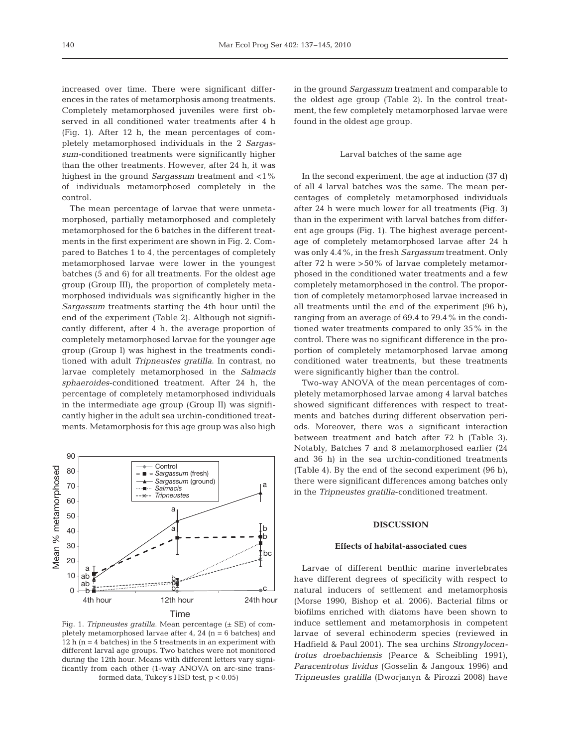increased over time. There were significant differences in the rates of metamorphosis among treatments. Completely metamorphosed juveniles were first observed in all conditioned water treatments after 4 h (Fig. 1). After 12 h, the mean percentages of completely metamorphosed individuals in the 2 *Sargassum-*conditioned treatments were significantly higher than the other treatments. However, after 24 h, it was highest in the ground *Sargassum* treatment and <1% of individuals metamorphosed completely in the control.

The mean percentage of larvae that were unmetamorphosed, partially metamorphosed and completely metamorphosed for the 6 batches in the different treatments in the first experiment are shown in Fig. 2. Compared to Batches 1 to 4, the percentages of completely metamorphosed larvae were lower in the youngest batches (5 and 6) for all treatments. For the oldest age group (Group III), the proportion of completely metamorphosed individuals was significantly higher in the *Sargassum* treatments starting the 4th hour until the end of the experiment (Table 2). Although not significantly different, after 4 h, the average proportion of completely metamorphosed larvae for the younger age group (Group I) was highest in the treatments conditioned with adult *Tripneustes gratilla*. In contrast, no larvae completely metamorphosed in the *Salmacis sphaeroides*-conditioned treatment. After 24 h, the percentage of completely metamorphosed individuals in the intermediate age group (Group II) was significantly higher in the adult sea urchin-conditioned treatments. Metamorphosis for this age group was also high



Fig. 1. *Tripneustes gratilla*. Mean percentage (± SE) of completely metamorphosed larvae after 4, 24  $(n = 6$  batches) and 12 h ( $n = 4$  batches) in the 5 treatments in an experiment with different larval age groups. Two batches were not monitored during the 12th hour. Means with different letters vary significantly from each other (1-way ANOVA on arc-sine transformed data, Tukey's HSD test, p < 0.05)

in the ground *Sargassum* treatment and comparable to the oldest age group (Table 2). In the control treatment, the few completely metamorphosed larvae were found in the oldest age group.

#### Larval batches of the same age

In the second experiment, the age at induction (37 d) of all 4 larval batches was the same. The mean percentages of completely metamorphosed individuals after 24 h were much lower for all treatments (Fig. 3) than in the experiment with larval batches from different age groups (Fig. 1). The highest average percentage of completely metamorphosed larvae after 24 h was only 4.4%, in the fresh *Sargassum* treatment. Only after 72 h were >50% of larvae completely metamorphosed in the conditioned water treatments and a few completely metamorphosed in the control. The proportion of completely metamorphosed larvae increased in all treatments until the end of the experiment (96 h), ranging from an average of 69.4 to 79.4% in the conditioned water treatments compared to only 35% in the control. There was no significant difference in the proportion of completely metamorphosed larvae among conditioned water treatments, but these treatments were significantly higher than the control.

Two-way ANOVA of the mean percentages of completely metamorphosed larvae among 4 larval batches showed significant differences with respect to treatments and batches during different observation periods. Moreover, there was a significant interaction between treatment and batch after 72 h (Table 3). Notably, Batches 7 and 8 metamorphosed earlier (24 and 36 h) in the sea urchin-conditioned treatments (Table 4). By the end of the second experiment (96 h), there were significant differences among batches only in the *Tripneustes gratilla*-conditioned treatment.

# **DISCUSSION**

#### **Effects of habitat-associated cues**

Larvae of different benthic marine invertebrates have different degrees of specificity with respect to natural inducers of settlement and metamorphosis (Morse 1990, Bishop et al. 2006). Bacterial films or biofilms enriched with diatoms have been shown to induce settlement and metamorphosis in competent larvae of several echinoderm species (reviewed in Hadfield & Paul 2001). The sea urchins *Strongylocentrotus droebachiensis* (Pearce & Scheibling 1991), *Paracentrotus lividus* (Gosselin & Jangoux 1996) and *Tripneustes gratilla* (Dworjanyn & Pirozzi 2008) have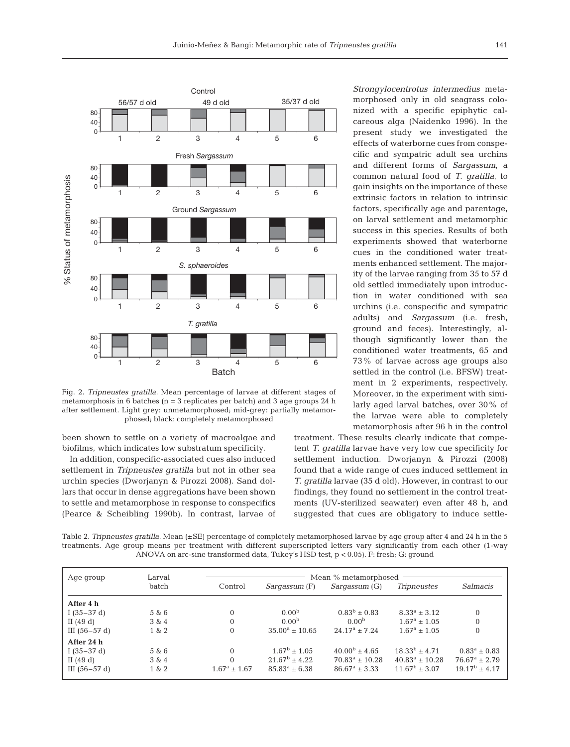

Fig. 2. *Tripneustes gratilla*. Mean percentage of larvae at different stages of metamorphosis in 6 batches (n = 3 replicates per batch) and 3 age groups 24 h after settlement. Light grey: unmetamorphosed; mid-grey: partially metamorphosed; black: completely metamorphosed

been shown to settle on a variety of macroalgae and biofilms, which indicates low substratum specificity.

In addition, conspecific-associated cues also induced settlement in *Tripneustes gratilla* but not in other sea urchin species (Dworjanyn & Pirozzi 2008). Sand dollars that occur in dense aggregations have been shown to settle and metamorphose in response to conspecifics (Pearce & Scheibling 1990b). In contrast, larvae of

*Strongylocentrotus intermedius* metamorphosed only in old seagrass colonized with a specific epiphytic calcareous alga (Naidenko 1996). In the present study we investigated the effects of waterborne cues from conspecific and sympatric adult sea urchins and different forms of *Sargassum*, a common natural food of *T. gratilla*, to gain insights on the importance of these extrinsic factors in relation to intrinsic factors, specifically age and parentage, on larval settlement and metamorphic success in this species. Results of both experiments showed that waterborne cues in the conditioned water treatments enhanced settlement. The majority of the larvae ranging from 35 to 57 d old settled immediately upon introduction in water conditioned with sea urchins (i.e. conspecific and sympatric adults) and *Sargassum* (i.e. fresh, ground and feces). Interestingly, although significantly lower than the conditioned water treatments, 65 and 73% of larvae across age groups also settled in the control (i.e. BFSW) treatment in 2 experiments, respectively. Moreover, in the experiment with similarly aged larval batches, over 30% of the larvae were able to completely metamorphosis after 96 h in the control

treatment. These results clearly indicate that competent *T. gratilla* larvae have very low cue specificity for settlement induction. Dworjanyn & Pirozzi (2008) found that a wide range of cues induced settlement in *T. gratilla* larvae (35 d old). However, in contrast to our findings, they found no settlement in the control treatments (UV-sterilized seawater) even after 48 h, and suggested that cues are obligatory to induce settle-

Table 2. *Tripneustes gratilla*. Mean (±SE) percentage of completely metamorphosed larvae by age group after 4 and 24 h in the 5 treatments. Age group means per treatment with different superscripted letters vary significantly from each other (1-way ANOVA on arc-sine transformed data, Tukey's HSD test, p < 0.05). F: fresh; G: ground

| Age group      | Larval | Mean % metamorphosed    |                           |                     |                              |                        |
|----------------|--------|-------------------------|---------------------------|---------------------|------------------------------|------------------------|
|                | batch  | Control                 | Sargassum (F)             | Sargassum (G)       | <i>Tripneustes</i>           | Salmacis               |
| After 4 h      |        |                         |                           |                     |                              |                        |
| I $(35-37d)$   | 5 & 6  | $\Omega$                | 0.00 <sup>b</sup>         | $0.83^b \pm 0.83$   | $8.33^a \pm 3.12$            | $\mathbf{0}$           |
| II $(49d)$     | 3 & 4  | $\Omega$                | 0.00 <sup>b</sup>         | 0.00 <sup>b</sup>   | $1.67^a \pm 1.05$            | $\mathbf{0}$           |
| III $(56-57d)$ | 1 & 2  | $\theta$                | $35.00^{\circ} \pm 10.65$ | $24.17^a \pm 7.24$  | $1.67^a \pm 1.05$            | $\mathbf{0}$           |
| After 24 h     |        |                         |                           |                     |                              |                        |
| I $(35-37d)$   | 5 & 6  | $\Omega$                | $1.67^{\rm b} \pm 1.05$   | $40.00b \pm 4.65$   | $18.33^{b} \pm 4.71$         | $0.83^a \pm 0.83$      |
| II $(49d)$     | 3 & 4  | $\Omega$                | $21.67^{\rm b} \pm 4.22$  | $70.83^a \pm 10.28$ | $40.83^{\text{a}} \pm 10.28$ | $76.67^a \pm 2.79$     |
| III $(56-57d)$ | 1 & 2  | $1.67^{\rm a} \pm 1.67$ | $85.83^a \pm 6.38$        | $86.67^a \pm 3.33$  | $11.67^{\rm b} \pm 3.07$     | $19.17^{\rm b} + 4.17$ |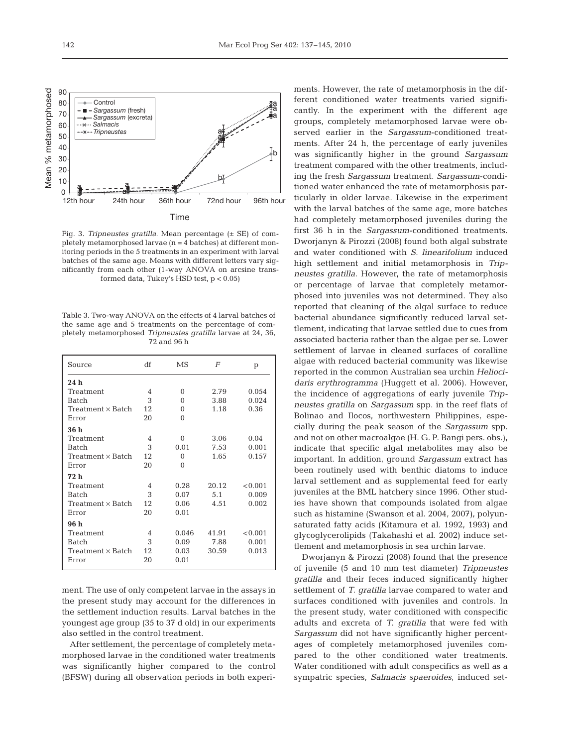



Fig. 3. *Tripneustes gratilla*. Mean percentage (± SE) of completely metamorphosed larvae (n = 4 batches) at different monitoring periods in the 5 treatments in an experiment with larval batches of the same age. Means with different letters vary significantly from each other (1-way ANOVA on arcsine transformed data, Tukey's HSD test, p < 0.05)

Table 3. Two-way ANOVA on the effects of 4 larval batches of the same age and 5 treatments on the percentage of completely metamorphosed *Tripneustes gratilla* larvae at 24, 36, 72 and 96 h

| Source                   | df             | MS       | F     | p       |
|--------------------------|----------------|----------|-------|---------|
| 24h                      |                |          |       |         |
| Treatment                | 4              | 0        | 2.79  | 0.054   |
| Batch                    | 3              | $\Omega$ | 3.88  | 0.024   |
| Treatment x Batch        | 12             | $\Omega$ | 1.18  | 0.36    |
| Error                    | 20             | $\Omega$ |       |         |
| 36 h                     |                |          |       |         |
| Treatment                | $\overline{4}$ | $\Omega$ | 3.06  | 0.04    |
| <b>Batch</b>             | 3              | 0.01     | 7.53  | 0.001   |
| $Treatment \times Batch$ | 12             | $\Omega$ | 1.65  | 0.157   |
| Error                    | 20             | $\Omega$ |       |         |
| 72 h                     |                |          |       |         |
| Treatment                | $\overline{4}$ | 0.28     | 20.12 | < 0.001 |
| <b>Batch</b>             | 3              | 0.07     | 5.1   | 0.009   |
| $Treatment \times Batch$ | 12             | 0.06     | 4.51  | 0.002   |
| Error                    | 20             | 0.01     |       |         |
| 96 h                     |                |          |       |         |
| Treatment                | $\overline{4}$ | 0.046    | 41.91 | < 0.001 |
| <b>Batch</b>             | 3              | 0.09     | 7.88  | 0.001   |
| Treatment x Batch        | 12             | 0.03     | 30.59 | 0.013   |
| Error                    | 20             | 0.01     |       |         |
|                          |                |          |       |         |

ment. The use of only competent larvae in the assays in the present study may account for the differences in the settlement induction results. Larval batches in the youngest age group (35 to 37 d old) in our experiments also settled in the control treatment.

After settlement, the percentage of completely metamorphosed larvae in the conditioned water treatments was significantly higher compared to the control (BFSW) during all observation periods in both experi-

ments. However, the rate of metamorphosis in the different conditioned water treatments varied significantly. In the experiment with the different age groups, completely metamorphosed larvae were observed earlier in the *Sargassum*-conditioned treatments. After 24 h, the percentage of early juveniles was significantly higher in the ground *Sargassum* treatment compared with the other treatments, including the fresh *Sargassum* treatment. *Sargassum*-conditioned water enhanced the rate of metamorphosis particularly in older larvae. Likewise in the experiment with the larval batches of the same age, more batches had completely metamorphosed juveniles during the first 36 h in the *Sargassum*-conditioned treatments. Dworjanyn & Pirozzi (2008) found both algal substrate and water conditioned with *S. linearifolium* induced high settlement and initial metamorphosis in *Tripneustes gratilla*. However, the rate of metamorphosis or percentage of larvae that completely metamorphosed into juveniles was not determined. They also reported that cleaning of the algal surface to reduce bacterial abundance significantly reduced larval settlement, indicating that larvae settled due to cues from associated bacteria rather than the algae per se. Lower settlement of larvae in cleaned surfaces of coralline algae with reduced bacterial community was likewise reported in the common Australian sea urchin *Heliocidaris erythrogramma* (Huggett et al. 2006). However, the incidence of aggregations of early juvenile *Tripneustes gratilla* on *Sargassum* spp. in the reef flats of Bolinao and Ilocos, northwestern Philippines, especially during the peak season of the *Sargassum* spp. and not on other macroalgae (H. G. P. Bangi pers. obs.), indicate that specific algal metabolites may also be important. In addition, ground *Sargassum* extract has been routinely used with benthic diatoms to induce larval settlement and as supplemental feed for early juveniles at the BML hatchery since 1996. Other studies have shown that compounds isolated from algae such as histamine (Swanson et al. 2004, 2007), polyunsaturated fatty acids (Kitamura et al. 1992, 1993) and glycoglycerolipids (Takahashi et al. 2002) induce settlement and metamorphosis in sea urchin larvae.

Dworjanyn & Pirozzi (2008) found that the presence of juvenile (5 and 10 mm test diameter) *Tripneustes gratilla* and their feces induced significantly higher settlement of *T. gratilla* larvae compared to water and surfaces conditioned with juveniles and controls. In the present study, water conditioned with conspecific adults and excreta of *T. gratilla* that were fed with *Sargassum* did not have significantly higher percentages of completely metamorphosed juveniles compared to the other conditioned water treatments. Water conditioned with adult conspecifics as well as a sympatric species, *Salmacis spaeroides*, induced set-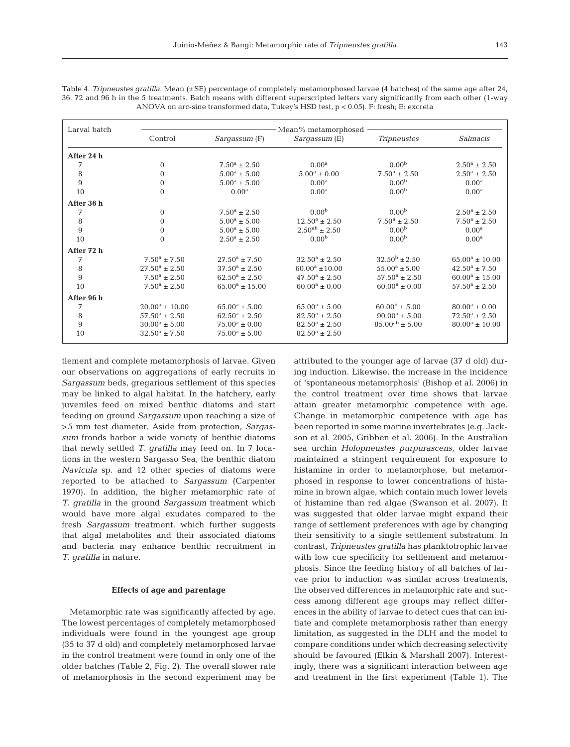| Larval batch | Mean% metamorphosed      |                          |                          |                                  |                         |  |
|--------------|--------------------------|--------------------------|--------------------------|----------------------------------|-------------------------|--|
|              | Control                  | <i>Sargassum</i> (F)     | Sargassum (E)            | <b>Tripneustes</b>               | Salmacis                |  |
| After 24 h   |                          |                          |                          |                                  |                         |  |
| 7            | $\Omega$                 | $7.50^a \pm 2.50$        | $0.00^{\rm a}$           | 0.00 <sup>b</sup>                | $2.50^{\rm a} \pm 2.50$ |  |
| 8            | $\mathbf{0}$             | $5.00^a \pm 5.00$        | $5.00^a \pm 0.00$        | $7.50^a \pm 2.50$                | $2.50^a \pm 2.50$       |  |
| 9            | $\mathbf{0}$             | $5.00^a \pm 5.00$        | 0.00 <sup>a</sup>        | 0.00 <sup>b</sup>                | $0.00^{\rm a}$          |  |
| 10           | $\Omega$                 | $0.00^{\rm a}$           | $0.00^{\rm a}$           | 0.00 <sup>b</sup>                | $0.00^{\rm a}$          |  |
| After 36 h   |                          |                          |                          |                                  |                         |  |
| 7            | $\Omega$                 | $7.50^a \pm 2.50$        | 0.00 <sup>b</sup>        | 0.00 <sup>b</sup>                | $2.50^a \pm 2.50$       |  |
| 8            | $\mathbf{0}$             | $5.00^a \pm 5.00$        | $12.50^a \pm 2.50$       | $7.50^a \pm 2.50$                | $7.50^a \pm 2.50$       |  |
| 9            | $\mathbf{0}$             | $5.00^a \pm 5.00$        | $2.50^{ab} \pm 2.50$     | 0.00 <sup>b</sup>                | $0.00^{\rm a}$          |  |
| 10           | $\mathbf{0}$             | $2.50^a \pm 2.50$        | 0.00 <sup>b</sup>        | 0.00 <sup>b</sup>                | $0.00^{\rm a}$          |  |
| After 72 h   |                          |                          |                          |                                  |                         |  |
| 7            | $7.50^a \pm 7.50$        | $27.50^{\circ} \pm 7.50$ | $32.50^a \pm 2.50$       | $32.50^{\rm b} \pm 2.50^{\rm c}$ | $65.00^a \pm 10.00$     |  |
| 8            | $27.50^a \pm 2.50$       | $37.50^{\rm a} \pm 2.50$ | $60.00^a \pm 10.00$      | $55.00^a \pm 5.00$               | $42.50^a \pm 7.50$      |  |
| 9            | $7.50^a \pm 2.50$        | $62.50^{\rm a} \pm 2.50$ | $47.50^{\rm a} \pm 2.50$ | $57.50^a \pm 2.50$               | $60.00^a \pm 15.00$     |  |
| 10           | $7.50^a \pm 2.50$        | $65.00^a \pm 15.00$      | $60.00^a \pm 0.00$       | $60.00^a \pm 0.00$               | $57.50^a \pm 2.50$      |  |
| After 96 h   |                          |                          |                          |                                  |                         |  |
| 7            | $20.00^a \pm 10.00$      | $65.00^a \pm 5.00$       | $65.00^a \pm 5.00$       | $60.00^{\rm b} \pm 5.00$         | $80.00^a \pm 0.00$      |  |
| 8            | $57.50^{\circ} \pm 2.50$ | $62.50^{\circ} \pm 2.50$ | $82.50^{\circ} \pm 2.50$ | $90.00^a \pm 5.00$               | $72.50^a \pm 2.50$      |  |
| 9            | $30.00^a \pm 5.00$       | $75.00^a \pm 0.00$       | $82.50^{\rm a} \pm 2.50$ | $85.00^{ab} \pm 5.00$            | $80.00^a \pm 10.00$     |  |
| 10           | $32.50^a \pm 7.50$       | $75.00^a \pm 5.00$       | $82.50^{\circ} \pm 2.50$ |                                  |                         |  |

Table 4. *Tripneustes gratilla.* Mean (±SE) percentage of completely metamorphosed larvae (4 batches) of the same age after 24, 36, 72 and 96 h in the 5 treatments. Batch means with different superscripted letters vary significantly from each other (1-way ANOVA on arc-sine transformed data, Tukey's HSD test, p < 0.05). F: fresh; E: excreta

tlement and complete metamorphosis of larvae. Given our observations on aggregations of early recruits in *Sargassum* beds, gregarious settlement of this species may be linked to algal habitat. In the hatchery, early juveniles feed on mixed benthic diatoms and start feeding on ground *Sargassum* upon reaching a size of >5 mm test diameter. Aside from protection, *Sargassum* fronds harbor a wide variety of benthic diatoms that newly settled *T. gratilla* may feed on. In 7 locations in the western Sargasso Sea, the benthic diatom *Navicula* sp. and 12 other species of diatoms were reported to be attached to *Sargassum* (Carpenter 1970). In addition, the higher metamorphic rate of *T. gratilla* in the ground *Sargassum* treatment which would have more algal exudates compared to the fresh *Sargassum* treatment, which further suggests that algal metabolites and their associated diatoms and bacteria may enhance benthic recruitment in *T. gratilla* in nature.

## **Effects of age and parentage**

Metamorphic rate was significantly affected by age. The lowest percentages of completely metamorphosed individuals were found in the youngest age group (35 to 37 d old) and completely metamorphosed larvae in the control treatment were found in only one of the older batches (Table 2, Fig. 2). The overall slower rate of metamorphosis in the second experiment may be attributed to the younger age of larvae (37 d old) during induction. Likewise, the increase in the incidence of 'spontaneous metamorphosis' (Bishop et al. 2006) in the control treatment over time shows that larvae attain greater metamorphic competence with age. Change in metamorphic competence with age has been reported in some marine invertebrates (e.g. Jackson et al. 2005, Gribben et al. 2006). In the Australian sea urchin *Holopneustes purpurascens*, older larvae maintained a stringent requirement for exposure to histamine in order to metamorphose, but metamorphosed in response to lower concentrations of histamine in brown algae, which contain much lower levels of histamine than red algae (Swanson et al. 2007). It was suggested that older larvae might expand their range of settlement preferences with age by changing their sensitivity to a single settlement substratum. In contrast, *Tripneustes gratilla* has planktotrophic larvae with low cue specificity for settlement and metamorphosis. Since the feeding history of all batches of larvae prior to induction was similar across treatments, the observed differences in metamorphic rate and success among different age groups may reflect differences in the ability of larvae to detect cues that can initiate and complete metamorphosis rather than energy limitation, as suggested in the DLH and the model to compare conditions under which decreasing selectivity should be favoured (Elkin & Marshall 2007). Interestingly, there was a significant interaction between age and treatment in the first experiment (Table 1). The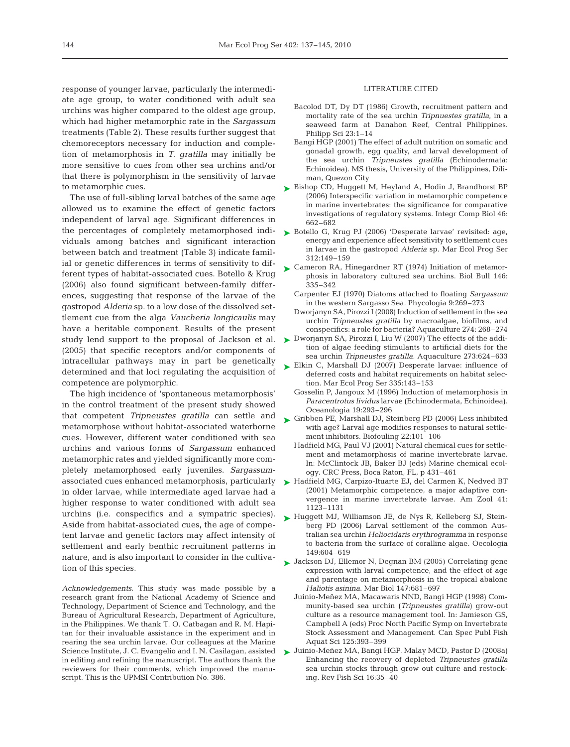response of younger larvae, particularly the intermediate age group, to water conditioned with adult sea urchins was higher compared to the oldest age group, which had higher metamorphic rate in the *Sargassum* treatments (Table 2). These results further suggest that chemoreceptors necessary for induction and completion of metamorphosis in *T. gratilla* may initially be more sensitive to cues from other sea urchins and/or that there is polymorphism in the sensitivity of larvae to metamorphic cues.

The use of full-sibling larval batches of the same age allowed us to examine the effect of genetic factors independent of larval age. Significant differences in the percentages of completely metamorphosed individuals among batches and significant interaction between batch and treatment (Table 3) indicate familial or genetic differences in terms of sensitivity to different types of habitat-associated cues. Botello & Krug (2006) also found significant between-family differences, suggesting that response of the larvae of the gastropod *Alderia* sp. to a low dose of the dissolved settlement cue from the alga *Vaucheria longicaulis* may have a heritable component. Results of the present study lend support to the proposal of Jackson et al. (2005) that specific receptors and/or components of intracellular pathways may in part be genetically determined and that loci regulating the acquisition of competence are polymorphic.

The high incidence of 'spontaneous metamorphosis' in the control treatment of the present study showed that competent *Tripneustes gratilla* can settle and metamorphose without habitat-associated waterborne cues. However, different water conditioned with sea urchins and various forms of *Sargassum* enhanced metamorphic rates and yielded significantly more completely metamorphosed early juveniles. *Sargassum*associated cues enhanced metamorphosis, particularly in older larvae, while intermediate aged larvae had a higher response to water conditioned with adult sea urchins (i.e. conspecifics and a sympatric species). Aside from habitat-associated cues, the age of competent larvae and genetic factors may affect intensity of settlement and early benthic recruitment patterns in nature, and is also important to consider in the cultivation of this species.

*Acknowledgements.* This study was made possible by a research grant from the National Academy of Science and Technology, Department of Science and Technology, and the Bureau of Agricultural Research, Department of Agriculture, in the Philippines. We thank T. O. Catbagan and R. M. Hapitan for their invaluable assistance in the experiment and in rearing the sea urchin larvae. Our colleagues at the Marine Science Institute, J. C. Evangelio and I. N. Casilagan, assisted in editing and refining the manuscript. The authors thank the reviewers for their comments, which improved the manuscript. This is the UPMSI Contribution No. 386.

## LITERATURE CITED

- Bacolod DT, Dy DT (1986) Growth, recruitment pattern and mortality rate of the sea urchin *Tripnuestes gratilla*, in a seaweed farm at Danahon Reef, Central Philippines. Philipp Sci 23:1–14
- Bangi HGP (2001) The effect of adult nutrition on somatic and gonadal growth, egg quality, and larval development of the sea urchin *Tripneustes gratilla* (Echinodermata: Echinoidea). MS thesis, University of the Philippines, Diliman, Quezon City
- ► Bishop CD, Huggett M, Heyland A, Hodin J, Brandhorst BP (2006) Interspecific variation in metamorphic competence in marine invertebrates: the significance for comparative investigations of regulatory systems. Integr Comp Biol 46: 662–682
- ► Botello G, Krug PJ (2006) 'Desperate larvae' revisited: age, energy and experience affect sensitivity to settlement cues in larvae in the gastropod *Alderia* sp. Mar Ecol Prog Ser 312:149–159
- ► Cameron RA, Hinegardner RT (1974) Initiation of metamorphosis in laboratory cultured sea urchins. Biol Bull 146: 335–342
	- Carpenter EJ (1970) Diatoms attached to floating *Sargassum* in the western Sargasso Sea. Phycologia 9:269–273
	- Dworjanyn SA, Pirozzi I (2008) Induction of settlement in the sea urchin *Tripneustes gratilla* by macroalgae, biofilms, and conspecifics: a role for bacteria? Aquaculture 274: 268–274
- ► Dworjanyn SA, Pirozzi I, Liu W (2007) The effects of the addition of algae feeding stimulants to artificial diets for the sea urchin *Tripneustes gratilla.* Aquaculture 273:624–633
- ► Elkin C, Marshall DJ (2007) Desperate larvae: influence of deferred costs and habitat requirements on habitat selection. Mar Ecol Prog Ser 335:143–153
	- Gosselin P, Jangoux M (1996) Induction of metamorphosis in *Paracentrotus lividus* larvae (Echinodermata, Echinoidea). Oceanologia 19:293–296
- ► Gribben PE, Marshall DJ, Steinberg PD (2006) Less inhibited with age? Larval age modifies responses to natural settlement inhibitors. Biofouling 22:101–106
	- Hadfield MG, Paul VJ (2001) Natural chemical cues for settlement and metamorphosis of marine invertebrate larvae. In: McClintock JB, Baker BJ (eds) Marine chemical ecology. CRC Press, Boca Raton, FL, p 431–461
- ► Hadfield MG, Carpizo-Ituarte EJ, del Carmen K, Nedved BT (2001) Metamorphic competence, a major adaptive convergence in marine invertebrate larvae. Am Zool 41: 1123–1131
- ► Huggett MJ, Williamson JE, de Nys R, Kelleberg SJ, Steinberg PD (2006) Larval settlement of the common Australian sea urchin *Heliocidaris erythrogramma* in response to bacteria from the surface of coralline algae. Oecologia 149:604–619
- ► Jackson DJ, Ellemor N, Degnan BM (2005) Correlating gene expression with larval competence, and the effect of age and parentage on metamorphosis in the tropical abalone *Haliotis asinina*. Mar Biol 147:681–697
	- Juinio-Meñez MA, Macawaris NND, Bangi HGP (1998) Community-based sea urchin (*Tripneustes gratilla*) grow-out culture as a resource management tool. In: Jamieson GS, Campbell A (eds) Proc North Pacific Symp on Invertebrate Stock Assessment and Management. Can Spec Publ Fish Aquat Sci 125:393–399
- Juinio-Meñez MA, Bangi HGP, Malay MCD, Pastor D (2008a) ➤Enhancing the recovery of depleted *Tripneustes gratilla* sea urchin stocks through grow out culture and restocking. Rev Fish Sci 16:35–40